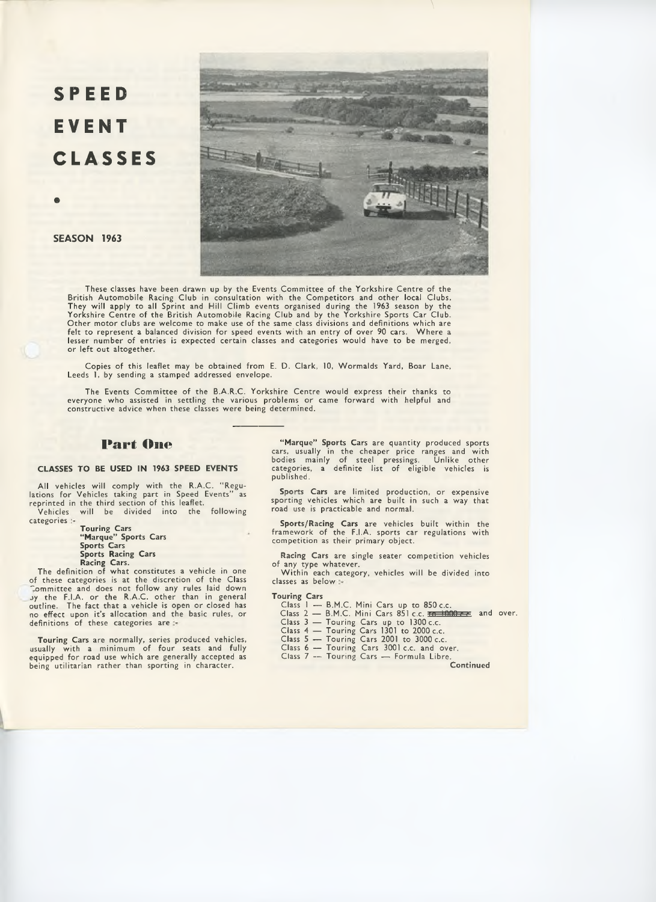# SPEED **EVENT CLASSES**



SEASON 1963

**c**

These classes have been drawn up by the Events Committee of the Yorkshire Centre of the British Automobile Racing Club in consultation with the Competitors and other local Clubs. They will apply to all Sprint and Hill Climb events organised during the 1963 season by the Yorkshire Centre of the British Automobile Racing Club and by the Yorkshire Sports Car Club.<br>Other motor clubs are welcome to make use of the same class divisions and definitions which are<br>felt to represent a balanced divi lesser number of entries is expected certain classes and categories would have to be merged, or left out altogether.

Copies of this leaflet may be obtained from E. D. Clark, 10, Wormalds Yard, Boar Lane, Leeds 1, by sending a stamped addressed envelope.

The Events Committee of the B.A.R.C. Yorkshire Centre would express their thanks to everyone who assisted in settling the various problems or came forward with helpful and constructive advice when these classes were being determined.

# **Part One**

## CLASSES TO BE USED IN 1963 SPEED EVENTS

All vehicles will comply with the R.A.C. " Regu-lations for Vehicles taking part in Speed Events" as reprinted in the third section of this leaflet. Vehicles will be divided into the following

categories :-

Touring Cars " Marque" Sports Cars Sports Cars Sports Racing Cars Racing Cars. The definition of what constitutes a vehicle in one

of these categories is at the discretion of the Class "ommittee and does not follow any rules laid down jy the F.I.A. or the R.A.C. other than in general outline. The fact that a vehicle is open or closed has no effect upon it's allocation and the basic rules, or definitions of these categories are

Touring Cars are normally, series produced vehicles, usually with a minimum of four seats and fully equipped for road use which are generally accepted as being utilitarian rather than sporting in character.

" Marque" Sports Cars are quantity produced sports cars, usually in the cheaper price ranges and with bodies mainly of steel pressings. Unlike other categories, a definite list of eligible vehicles is published.

Sports Cars are limited production, or expensive sporting vehicles which are built in such a way that road use is practicable and normal.

Sports/Racing Cars are vehicles built within the framework of the F.I.A. sports car regulations with competition as their primary object.

Racing Cars are single seater competition vehicles of any type whatever.

Within each category, vehicles will be divided into classes as below

## Touring Cars

- 
- Class 1 B.M.C. Mini Cars up to 850 c.c.<br>Class 2 B.M.C. Mini Cars 851 c.c. <del>In 1000 c.c</del> and over.
- 
- 
- 
- Class 3 Touring Cars up to 1300 c.c. Class 4 Touring Cars 1301 to 2000 c.c. Class 5 Touring Cars 2001 to 3000 c.c. Class 6 Touring Cars 3001 c.c. and over.
- Class 7 -- Touring Cars Formula Libre.

Continued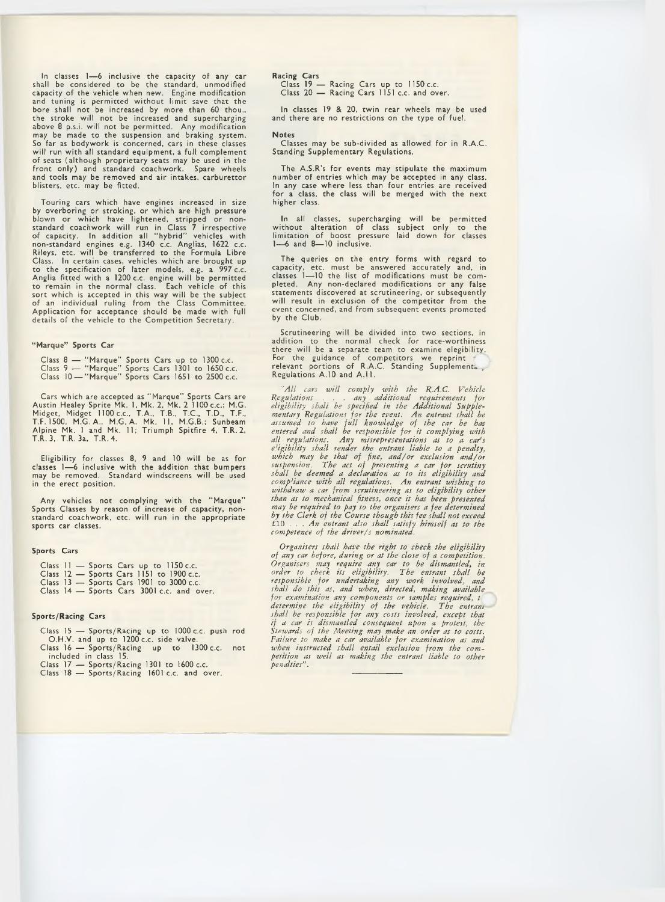In classes 1— 6 inclusive the capacity of any car shall be considered to be the standard, unmodified capacity of the vehicle when new. Engine modification and tuning is permitted without limit save that the bore shall not be increased by more than 60 thou., the stroke will not be increased and supercharging above 8 p.s.i. will not be permitted. Any modification may be made to the suspension and braking system. So far as bodywork is concerned, cars in these classes will run with all standard equipment, a full complement of seats (although proprietary seats may be used in the front only) and standard coachwork. Spare wheels be an variously proportionally carbon controlly and standard coachwork. Spare wheels<br>and tools may be removed and air intakes, carburettor blisters, etc. may be fitted.

Touring cars which have engines increased in size<br>by overboring or stroking, or which are high pressure<br>blown or which have lightened, stripped or non-<br>standard coachwork will run in Class 7 irrespective<br>of capacity. In ad non-standard engines e.g. 1340 c.c. Anglias, 1622 c.c. Rileys, etc. will be transferred to the Formula Libre Class. In certain cases, vehicles which are brought up to the specification of later models, e.g. a 997 c.c. Anglia fitted with a 1200 c.c. engine will be permitted to remain in the normal class. Each vehicle of this sort which is accepted in this way will be the subject of an individual ruling from the Class Committee. Application for acceptance should be made with full details of the vehicle to the Competition Secretary.

#### "Marque" Sports Car

Class 8 — " Marque" Sports Cars up to 1300 c.c. Class 9 — " Marque" Sports Cars 1301 to 1650 c.c. Class 10 — " Marque" Sports Cars 1651 to 2500 c.c.

Cars which are accepted as " Marque" Sports Cars are Austin Healey Sprite Mk. 1, Mk. 2, Mk. 2 1100 c.c.; M.G.<br>Midget, Midget 1100 c.c., T.A., T.B., T.C., T.D., T.F.,<br>T.F. 1500, M.G. A., M.G. A. Mk. 11, M.G.B.; Sunbeam Alpine Mk. 1 and Mk. 11; Triumph Spitfire 4, T.R.2, T.R. 3, T.R. 3a, T.R.4.

Eligibility for classes 8, 9 and 10 will be as for classes 1— 6 inclusive with the addition that bumpers may be removed. Standard windscreens will be used in the erect position.

Any vehicles not complying with the " Marque" Sports Classes by reason of increase of capacity, nonstandard coachwork, etc. will run in the appropriate sports car classes.

## Sports Cars

- Class II Sports Cars up to 1150 c.c. Class 12 Sports Cars 1151 to 1900 c.c.
- 
- Class 13 Sports Cars 1901 to 3000 c.c.
- Class 14 Sports Cars 3001 c.c. and over.

## Sports/Racing Cars

Class 15 — Sports/Racing up to 1000 c.c. push rod O.H.V. and up to 1200 c.c. side valve. Class 16 — Sports/Racing up to 1300 c.c. not

included in class 15. Class 17 — Sports/Racing 1301 to 1600 c.c. Class 18 — Sports/Racing 1601 c.c. and over.

# Racing Cars Class 19 — Racing Cars up to 1150 c.c. Class 20 — Racing Cars 1151 c.c. and over.

In classes 19 & 20, twin rear wheels may be used and there are no restrictions on the type of fuel.

#### Notes

Classes may be sub-divided as allowed for in R.A.C. Standing Supplementary Regulations.

The A.S.R's for events may stipulate the maximum number of entries which may be accepted in any class. In any case where less than four entries are received for a class, the class will be merged with the next higher class.

In all classes, supercharging will be permitted without alteration of class subject only to the limitation of boost pressure laid down for classes 1—6 and 8—10 inclusive.

The queries on the entry forms with regard to capacity, etc. must be answered accurately and, in classes 1— 10 the list of modifications must be com-pleted. Any non-declared modifications or any false statements discovered at scrutineering, or subsequently will result in exclusion of the competitor from the event concerned, and from subsequent events promoted by the Club.

Scrutineering will be divided into two sections, in addition to the normal check for race-worthiness there will be a separate team to examine elegibility. For the guidance of competitors we reprint relevant portions of R.A.C. Standing Supplements., .<br>Regulations A.10 and A.11.

*"A ll cars will comply with the R.A.C. Vehicle Regulations . . . any additional requirements for eligibility shall be specified in the Additional Supple-mentary Regulations for the event. An entrant shall be assumed to have full knowledge of the car he has entered and shall be responsible for it complying with all regulations. Any misrepresentations as to a car' s eligibility shall render the entrant liable to a penalty,* which may be that of fine, and/or exclusion and/or<br>suspension. The act of presenting a car for scrutiny<br>shall be deemed a declaration as to its eligibility and<br>comp<sup>l</sup>iance with all regulations. An entrant wishing to<br>with *than as to mechanical fitness, once it has been presented* may be required to pay to the organisers a fee determined<br>by the Clerk of the Course though this fee shall not exceed<br>£10 . . . . An entrant also shall satisfy himself as to the<br>competence of the driver/s nominated.

*Organisers shall have the right to check the eligibility of any car before, during or at the close of a competition. Organisers may require any car to be dismantled, in order to check its eligibility. The entrant shall be responsible for undertaking any work involved, and shall do this as, and when, directed, making available for examination any components or samples required, t determine the eligibility of the vehicle. The entram* shall be responsible for any costs involved, except that<br>if a car is dismantled consequent upon a protest, the<br>Stewards of the Meeting may make an order as to costs.<br>Failure to make a car available for examination as and *when instructed shall entail exclusion from the com-petition as well as making the entrant liable to other penalties" .*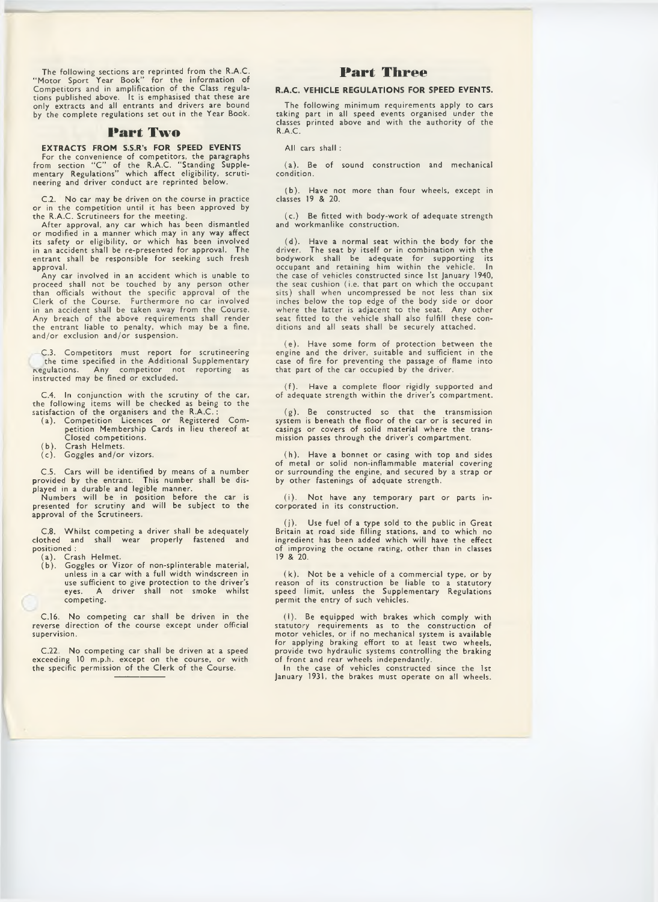The following sections are reprinted from the R.A.C. " Motor Sport Year Book" for the information of Competitors and in amplification of the Class regulations published above. It is emphasised that these are only extracts and all entrants and drivers are bound by the complete regulations set out in the Year Book.

## **Part Two**

EXTRACTS FROM S.S.R's FOR SPEED EVENTS For the convenience of competitors, the paragraphs from section " C " of the R.A.C. " Standing Supple-mentary Regulations" which affect eligibility, scrutineering and driver conduct are reprinted below.

C.2. No car may be driven on the course in practice or in the competition until it has been approved by the R.A.C. Scrutineers for the meeting.

After approval, any car which has been dismantled or modified in a manner which may in any way affect its safety or eligibility, or which has been involved in an accident shall be re-presented for approval. The entrant shall be responsible for seeking such fresh approval.

Any car involved in an accident which is unable to proceed shall not be touched by any person other than officials without the specific approval of the Clerk of the Course. Furthermore no car involved in an accident shall be taken away from the Course. Any breach of the above requirements shall render the entrant liable to penalty, which may be a fine, and/or exclusion and/or suspension.

C.3. Competitors must report for scrutineering the time specified in the Additional Supplementary regulations. Any competitor not reporting as instructed may be fined or excluded.

C.4. In conjunction with the scrutiny of the car, the following items will be checked as being to the satisfaction of the organisers and the R.A.C. :

- (a). Competition Licences or Registered Competition Membership Cards in lieu thereof at Closed competitions.
- (b). Crash Helmets.
- (c). Goggles and/or vizors.

C.5. Cars will be identified by means of a number provided by the entrant. This number shall be displayed in a durable and legible manner.

Numbers will be in position before the car is presented for scrutiny and will be subject to the approval of the Scrutineers.

C.8. Whilst competing a driver shall be adequately clothed and shall wear properly fastened and positioned :

(a). Crash Helmet. (b). Goggles or Vizor of non-splinterable material, unless in a car with a full width windscreen in use sufficient to give protection to the driver's eyes. A driver shall not smoke whilst competing.

C.16. No competing car shall be driven in the reverse direction of the course except under official supervision.

C.22. No competing car shall be driven at a speed exceeding 10 m.p.h. except on the course, or with the specific permission of the Clerk of the Course.

# **Part Three**

#### R.A.C. VEHICLE REGULATIONS FOR SPEED EVENTS.

The following minimum requirements apply to cars taking part in all speed events organised under the classes printed above and with the authority of the R.A.C.

All cars shall :

(a). Be of sound construction and mechanical condition.

(b). Have not more than four wheels, except in classes 19 & 20.

(c.) Be fitted with body-work of adequate strength and workmanlike construction.

(d). Have a normal seat within the body for the driver. The seat by itself or in combination with the bodywork shall be adequate for supporting its occupant and retaining him within the vehicle. In the case of vehicles constructed since 1st January 1940, the seat cushion (i.e. that part on which the occupant sits) shall when uncompressed be not less than six inches below the top edge of the body side or door where the latter is adjacent to the seat. Any other seat fitted to the vehicle shall also fulfill these conditions and all seats shall be securely attached.

(e). Have some form of protection between the engine and the driver, suitable and sufficient in the case of fire for preventing the passage of flame into that part of the car occupied by the driver.

(f). Have a complete floor rigidly supported and of adequate strength within the driver's compartment.

(g). Be constructed so that the transmission system is beneath the floor of the car or is secured in casings or covers of solid material where the transmission passes through the driver's compartment.

(h). Have a bonnet or casing with top and sides of metal or solid non-inflammable material covering or surrounding the engine, and secured by a strap or by other fastenings of adquate strength.

(i). Not have any temporary part or parts incorporated in its construction.

(j). Use fuel of a type sold to the public in Great Britain at road side filling stations, and to which no ingredient has been added which will have the effect of improving the octane rating, other than in classes 19 & 20.

(k). Not be a vehicle of a commercial type, or by reason of its construction be liable to a statutory speed limit, unless the Supplementary Regulations permit the entry of such vehicles.

(I). Be equipped with brakes which comply with statutory requirements as to the construction motor vehicles, or if no mechanical system is available for applying braking effort to at least two wheels, provide two hydraulic systems controlling the braking of front and rear wheels independantly.

In the case of vehicles constructed since the 1st January 1931, the brakes must operate on all wheels.